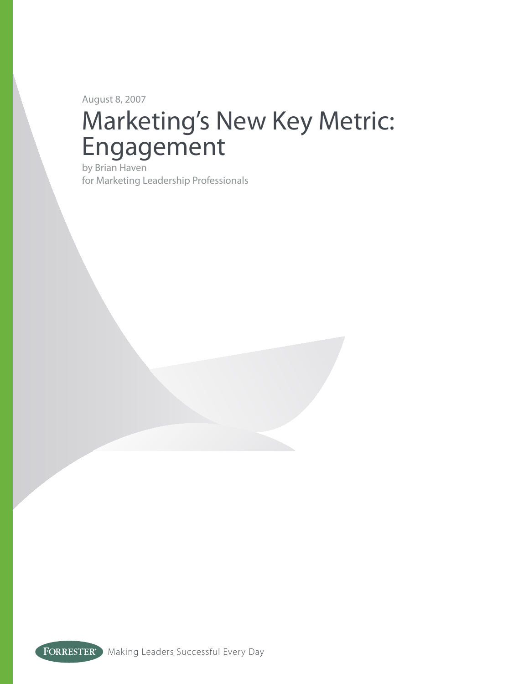August 8, 2007

# Marketing's New Key Metric: Engagement

by Brian Haven for Marketing Leadership Professionals

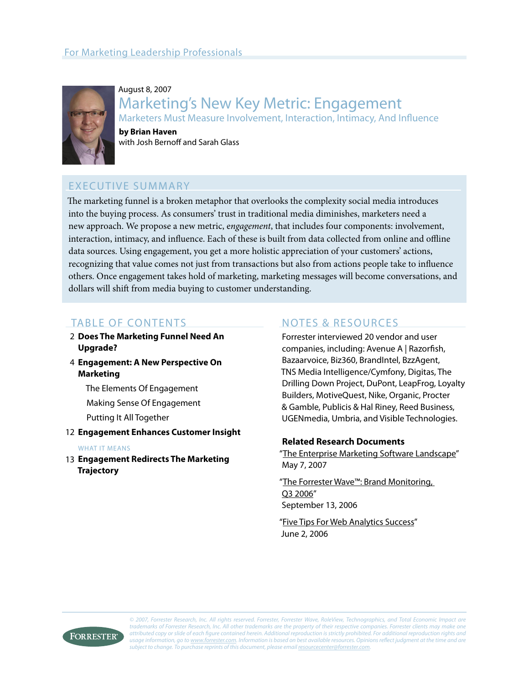

August 8, 2007 Marketing's New Key Metric: Engagement Marketers Must Measure Involvement, Interaction, Intimacy, And Influence

**by Brian Haven** with Josh Bernoff and Sarah Glass

## EXECUTIVE SUMMARY

The marketing funnel is a broken metaphor that overlooks the complexity social media introduces into the buying process. As consumers' trust in traditional media diminishes, marketers need a new approach. We propose a new metric, e*ngagement*, that includes four components: involvement, interaction, intimacy, and influence. Each of these is built from data collected from online and offline data sources. Using engagement, you get a more holistic appreciation of your customers' actions, recognizing that value comes not just from transactions but also from actions people take to influence others. Once engagement takes hold of marketing, marketing messages will become conversations, and dollars will shift from media buying to customer understanding.

## TABLE OF CONTENTS

- **Does The Marketing Funnel Need An**  2 **Upgrade?**
- **Engagement: A New Perspective On**  4 **Marketing**

The Elements Of Engagement

Making Sense Of Engagement

Putting It All Together

**Engagement Enhances Customer Insight** 12

#### WHAT IT MEANS

**Engagement Redirects The Marketing**  13**Trajectory**

## NOTES & RESOURCES

Forrester interviewed 20 vendor and user companies, including: Avenue A | Razorfish, Bazaarvoice, Biz360, BrandIntel, BzzAgent, TNS Media Intelligence/Cymfony, Digitas, The Drilling Down Project, DuPont, LeapFrog, Loyalty Builders, MotiveQuest, Nike, Organic, Procter & Gamble, Publicis & Hal Riney, Reed Business, UGENmedia, Umbria, and Visible Technologies.

#### **Related Research Documents**

"[The Enterprise Marketing Software Landscape"](http://www.forrester.com/go?docid=40761&src=42124pdf) May 7, 2007

"[The Forrester Wave™: Brand Monitoring,](http://www.forrester.com/go?docid=39442&src=42124pdf)  [Q3 2006"](http://www.forrester.com/go?docid=39442&src=42124pdf) September 13, 2006

["Five Tips For Web Analytics Success"](http://www.forrester.com/go?docid=39569&src=42124pdf) June 2, 2006

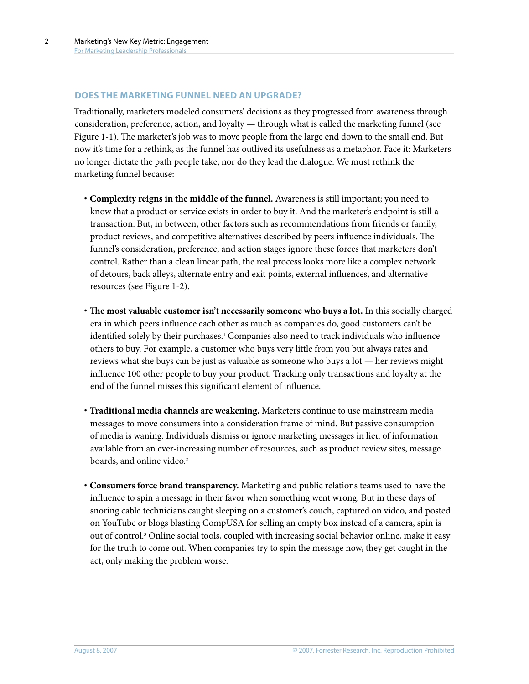#### **DOES THE MARKETING FUNNEL NEED AN UPGRADE?**

Traditionally, marketers modeled consumers' decisions as they progressed from awareness through consideration, preference, action, and loyalty — through what is called the marketing funnel (see Figure 1-1). The marketer's job was to move people from the large end down to the small end. But now it's time for a rethink, as the funnel has outlived its usefulness as a metaphor. Face it: Marketers no longer dictate the path people take, nor do they lead the dialogue. We must rethink the marketing funnel because:

- **· Complexity reigns in the middle of the funnel.** Awareness is still important; you need to know that a product or service exists in order to buy it. And the marketer's endpoint is still a transaction. But, in between, other factors such as recommendations from friends or family, product reviews, and competitive alternatives described by peers influence individuals. The funnel's consideration, preference, and action stages ignore these forces that marketers don't control. Rather than a clean linear path, the real process looks more like a complex network of detours, back alleys, alternate entry and exit points, external influences, and alternative resources (see Figure 1-2).
- **· The most valuable customer isn't necessarily someone who buys a lot.** In this socially charged era in which peers influence each other as much as companies do, good customers can't be identified solely by their purchases.1 Companies also need to track individuals who influence others to buy. For example, a customer who buys very little from you but always rates and reviews what she buys can be just as valuable as someone who buys a lot — her reviews might influence 100 other people to buy your product. Tracking only transactions and loyalty at the end of the funnel misses this significant element of influence.
- **· Traditional media channels are weakening.** Marketers continue to use mainstream media messages to move consumers into a consideration frame of mind. But passive consumption of media is waning. Individuals dismiss or ignore marketing messages in lieu of information available from an ever-increasing number of resources, such as product review sites, message boards, and online video.<sup>2</sup>
- **· Consumers force brand transparency.** Marketing and public relations teams used to have the influence to spin a message in their favor when something went wrong. But in these days of snoring cable technicians caught sleeping on a customer's couch, captured on video, and posted on YouTube or blogs blasting CompUSA for selling an empty box instead of a camera, spin is out of control.3 Online social tools, coupled with increasing social behavior online, make it easy for the truth to come out. When companies try to spin the message now, they get caught in the act, only making the problem worse.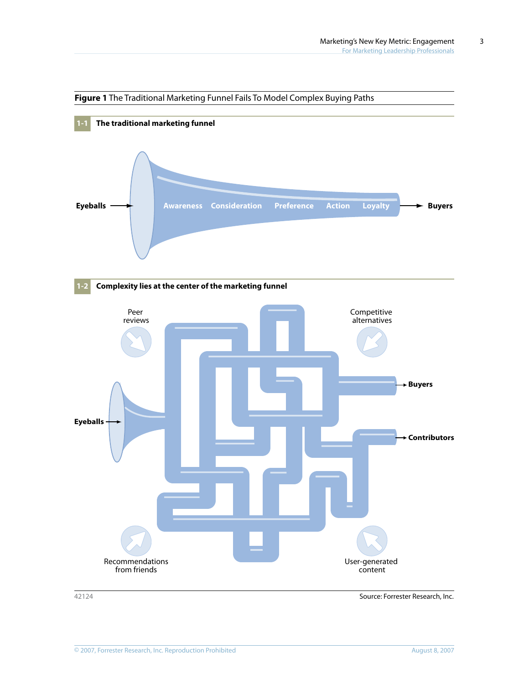

#### **Figure 1** The Traditional Marketing Funnel Fails To Model Complex Buying Paths

42124 Source: Forrester Research, Inc.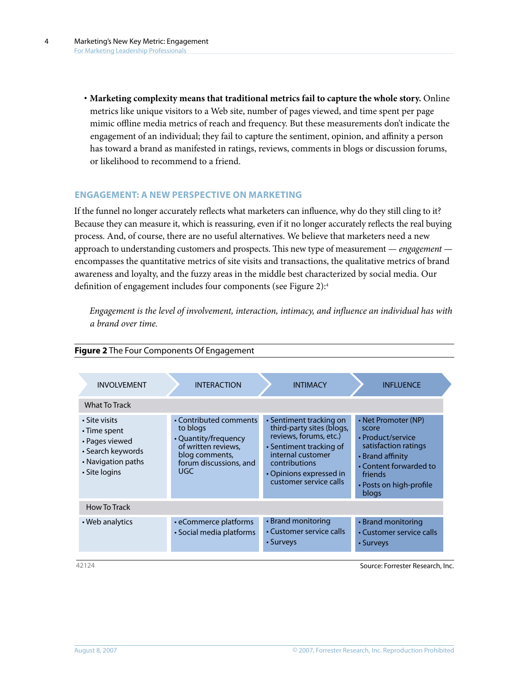**· Marketing complexity means that traditional metrics fail to capture the whole story.** Online metrics like unique visitors to a Web site, number of pages viewed, and time spent per page mimic offline media metrics of reach and frequency. But these measurements don't indicate the engagement of an individual; they fail to capture the sentiment, opinion, and affinity a person has toward a brand as manifested in ratings, reviews, comments in blogs or discussion forums, or likelihood to recommend to a friend.

## **ENGAGEMENT: A NEW PERSPECTIVE ON MARKETING**

If the funnel no longer accurately reflects what marketers can influence, why do they still cling to it? Because they can measure it, which is reassuring, even if it no longer accurately reflects the real buying process. And, of course, there are no useful alternatives. We believe that marketers need a new approach to understanding customers and prospects. This new type of measurement — *engagement*  encompasses the quantitative metrics of site visits and transactions, the qualitative metrics of brand awareness and loyalty, and the fuzzy areas in the middle best characterized by social media. Our definition of engagement includes four components (see Figure 2):4

*Engagement is the level of involvement, interaction, intimacy, and influence an individual has with a brand over time.*

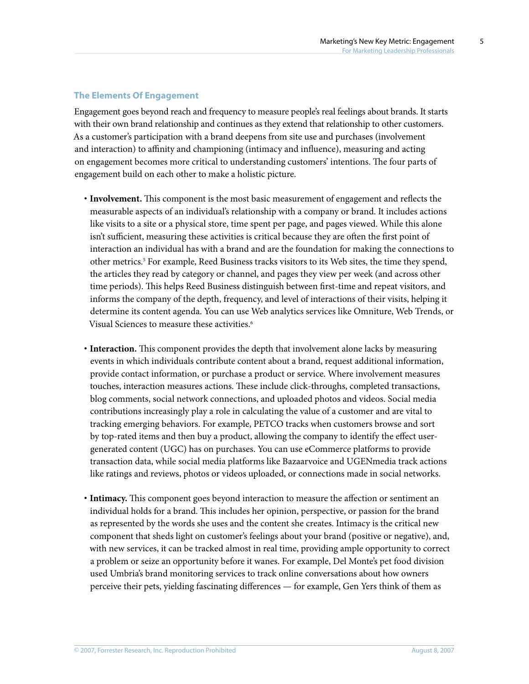## **The Elements Of Engagement**

Engagement goes beyond reach and frequency to measure people's real feelings about brands. It starts with their own brand relationship and continues as they extend that relationship to other customers. As a customer's participation with a brand deepens from site use and purchases (involvement and interaction) to affinity and championing (intimacy and influence), measuring and acting on engagement becomes more critical to understanding customers' intentions. The four parts of engagement build on each other to make a holistic picture.

- **· Involvement.** This component is the most basic measurement of engagement and reflects the measurable aspects of an individual's relationship with a company or brand. It includes actions like visits to a site or a physical store, time spent per page, and pages viewed. While this alone isn't sufficient, measuring these activities is critical because they are often the first point of interaction an individual has with a brand and are the foundation for making the connections to other metrics.<sup>5</sup> For example, Reed Business tracks visitors to its Web sites, the time they spend, the articles they read by category or channel, and pages they view per week (and across other time periods). This helps Reed Business distinguish between first-time and repeat visitors, and informs the company of the depth, frequency, and level of interactions of their visits, helping it determine its content agenda. You can use Web analytics services like Omniture, Web Trends, or Visual Sciences to measure these activities.<sup>6</sup>
- **· Interaction.** This component provides the depth that involvement alone lacks by measuring events in which individuals contribute content about a brand, request additional information, provide contact information, or purchase a product or service. Where involvement measures touches, interaction measures actions. These include click-throughs, completed transactions, blog comments, social network connections, and uploaded photos and videos. Social media contributions increasingly play a role in calculating the value of a customer and are vital to tracking emerging behaviors. For example, PETCO tracks when customers browse and sort by top-rated items and then buy a product, allowing the company to identify the effect usergenerated content (UGC) has on purchases. You can use eCommerce platforms to provide transaction data, while social media platforms like Bazaarvoice and UGENmedia track actions like ratings and reviews, photos or videos uploaded, or connections made in social networks.
- **· Intimacy.** This component goes beyond interaction to measure the affection or sentiment an individual holds for a brand. This includes her opinion, perspective, or passion for the brand as represented by the words she uses and the content she creates. Intimacy is the critical new component that sheds light on customer's feelings about your brand (positive or negative), and, with new services, it can be tracked almost in real time, providing ample opportunity to correct a problem or seize an opportunity before it wanes. For example, Del Monte's pet food division used Umbria's brand monitoring services to track online conversations about how owners perceive their pets, yielding fascinating differences — for example, Gen Yers think of them as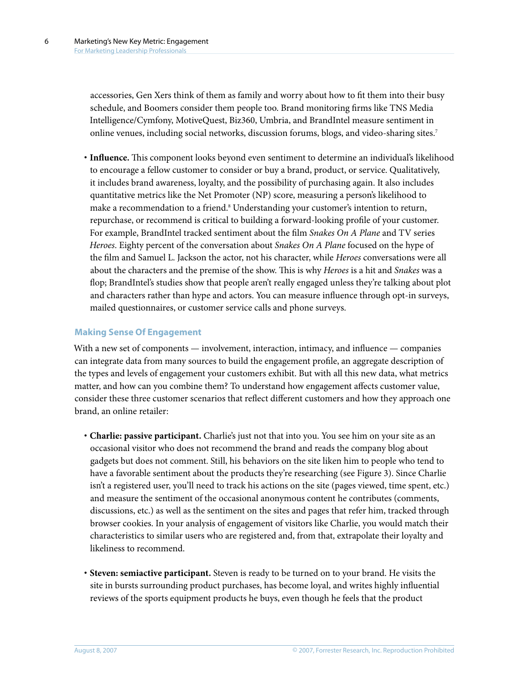accessories, Gen Xers think of them as family and worry about how to fit them into their busy schedule, and Boomers consider them people too. Brand monitoring firms like TNS Media Intelligence/Cymfony, MotiveQuest, Biz360, Umbria, and BrandIntel measure sentiment in online venues, including social networks, discussion forums, blogs, and video-sharing sites.7

**· Influence.** This component looks beyond even sentiment to determine an individual's likelihood to encourage a fellow customer to consider or buy a brand, product, or service. Qualitatively, it includes brand awareness, loyalty, and the possibility of purchasing again. It also includes quantitative metrics like the Net Promoter (NP) score, measuring a person's likelihood to make a recommendation to a friend.<sup>8</sup> Understanding your customer's intention to return, repurchase, or recommend is critical to building a forward-looking profile of your customer. For example, BrandIntel tracked sentiment about the film *Snakes On A Plane* and TV series *Heroes*. Eighty percent of the conversation about *Snakes On A Plane* focused on the hype of the film and Samuel L. Jackson the actor, not his character, while *Heroes* conversations were all about the characters and the premise of the show. This is why *Heroes* is a hit and *Snakes* was a flop; BrandIntel's studies show that people aren't really engaged unless they're talking about plot and characters rather than hype and actors. You can measure influence through opt-in surveys, mailed questionnaires, or customer service calls and phone surveys.

#### **Making Sense Of Engagement**

With a new set of components — involvement, interaction, intimacy, and influence — companies can integrate data from many sources to build the engagement profile, an aggregate description of the types and levels of engagement your customers exhibit. But with all this new data, what metrics matter, and how can you combine them? To understand how engagement affects customer value, consider these three customer scenarios that reflect different customers and how they approach one brand, an online retailer:

- **· Charlie: passive participant.** Charlie's just not that into you. You see him on your site as an occasional visitor who does not recommend the brand and reads the company blog about gadgets but does not comment. Still, his behaviors on the site liken him to people who tend to have a favorable sentiment about the products they're researching (see Figure 3). Since Charlie isn't a registered user, you'll need to track his actions on the site (pages viewed, time spent, etc.) and measure the sentiment of the occasional anonymous content he contributes (comments, discussions, etc.) as well as the sentiment on the sites and pages that refer him, tracked through browser cookies. In your analysis of engagement of visitors like Charlie, you would match their characteristics to similar users who are registered and, from that, extrapolate their loyalty and likeliness to recommend.
- **· Steven: semiactive participant.** Steven is ready to be turned on to your brand. He visits the site in bursts surrounding product purchases, has become loyal, and writes highly influential reviews of the sports equipment products he buys, even though he feels that the product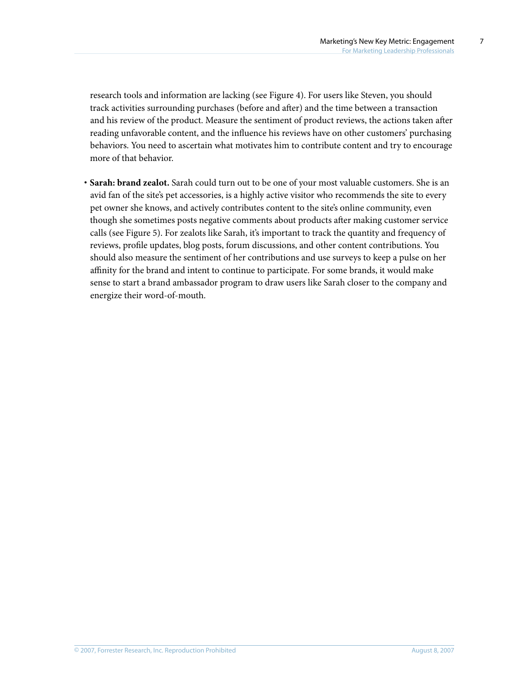research tools and information are lacking (see Figure 4). For users like Steven, you should track activities surrounding purchases (before and after) and the time between a transaction and his review of the product. Measure the sentiment of product reviews, the actions taken after reading unfavorable content, and the influence his reviews have on other customers' purchasing behaviors. You need to ascertain what motivates him to contribute content and try to encourage more of that behavior.

**· Sarah: brand zealot.** Sarah could turn out to be one of your most valuable customers. She is an avid fan of the site's pet accessories, is a highly active visitor who recommends the site to every pet owner she knows, and actively contributes content to the site's online community, even though she sometimes posts negative comments about products after making customer service calls (see Figure 5). For zealots like Sarah, it's important to track the quantity and frequency of reviews, profile updates, blog posts, forum discussions, and other content contributions. You should also measure the sentiment of her contributions and use surveys to keep a pulse on her affinity for the brand and intent to continue to participate. For some brands, it would make sense to start a brand ambassador program to draw users like Sarah closer to the company and energize their word-of-mouth.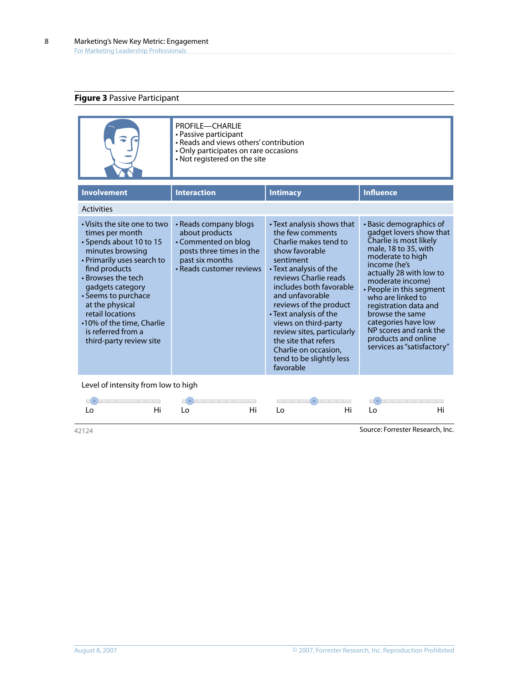## **Figure 3** Passive Participant

|  | <b>PROFILE-CHARLIE</b><br>• Passive participant<br>• Reads and views others' contribution<br>• Only participates on rare occasions<br>• Not registered on the site |
|--|--------------------------------------------------------------------------------------------------------------------------------------------------------------------|
|--|--------------------------------------------------------------------------------------------------------------------------------------------------------------------|

| <b>Involvement</b>                                                                                                                                                                                                                                                                                                                  | <b>Interaction</b>                                                                                                                        | <b>Intimacy</b>                                                                                                                                                                                                                                                                                                                                                                                                  | <b>Influence</b>                                                                                                                                                                                                                                                                                                                                                                           |  |
|-------------------------------------------------------------------------------------------------------------------------------------------------------------------------------------------------------------------------------------------------------------------------------------------------------------------------------------|-------------------------------------------------------------------------------------------------------------------------------------------|------------------------------------------------------------------------------------------------------------------------------------------------------------------------------------------------------------------------------------------------------------------------------------------------------------------------------------------------------------------------------------------------------------------|--------------------------------------------------------------------------------------------------------------------------------------------------------------------------------------------------------------------------------------------------------------------------------------------------------------------------------------------------------------------------------------------|--|
| <b>Activities</b>                                                                                                                                                                                                                                                                                                                   |                                                                                                                                           |                                                                                                                                                                                                                                                                                                                                                                                                                  |                                                                                                                                                                                                                                                                                                                                                                                            |  |
| • Visits the site one to two<br>times per month<br>• Spends about 10 to 15<br>minutes browsing<br>• Primarily uses search to<br>find products<br>• Browses the tech<br>gadgets category<br>• Seems to purchace<br>at the physical<br>retail locations<br>•10% of the time, Charlie<br>is referred from a<br>third-party review site | • Reads company blogs<br>about products<br>• Commented on blog<br>posts three times in the<br>past six months<br>• Reads customer reviews | • Text analysis shows that<br>the few comments<br>Charlie makes tend to<br>show favorable<br>sentiment<br>$\cdot$ Text analysis of the<br>reviews Charlie reads<br>includes both favorable<br>and unfavorable<br>reviews of the product<br>• Text analysis of the<br>views on third-party<br>review sites, particularly<br>the site that refers<br>Charlie on occasion,<br>tend to be slightly less<br>favorable | • Basic demographics of<br>gadget lovers show that<br>Charlie is most likely<br>male, 18 to 35, with<br>moderate to high<br>income (he's<br>actually 28 with low to<br>moderate income)<br>• People in this segment<br>who are linked to<br>registration data and<br>browse the same<br>categories have low<br>NP scores and rank the<br>products and online<br>services as "satisfactory" |  |
|                                                                                                                                                                                                                                                                                                                                     |                                                                                                                                           |                                                                                                                                                                                                                                                                                                                                                                                                                  |                                                                                                                                                                                                                                                                                                                                                                                            |  |

Level of intensity from low to high

|  |  | $\bullet$ . The contract of $\bullet$ is the contract of $\bullet$ in the contract of $\bullet$ is the contract of $\bullet$ |  |
|--|--|------------------------------------------------------------------------------------------------------------------------------|--|
|  |  | Lo Hi Lo Hi Lo Hi Lo Hi Lo                                                                                                   |  |

42124 Source: Forrester Research, Inc.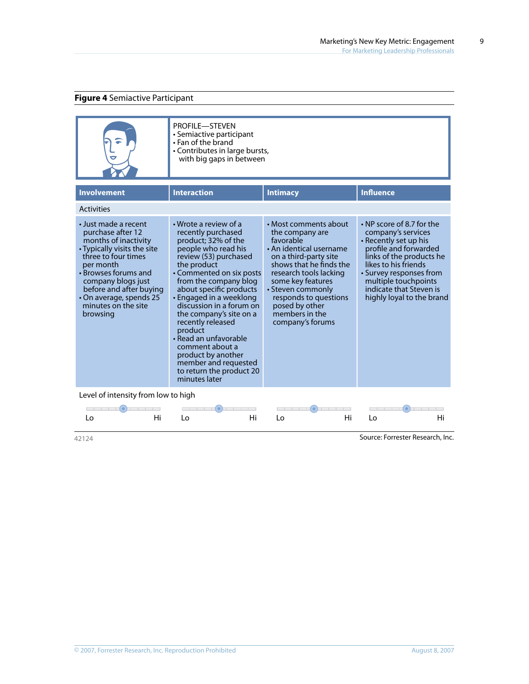## **Figure 4** Semiactive Participant

|                                                                                                                                                                                                                                                                             | <b>PROFILE-STEVEN</b><br>• Semiactive participant<br>$\cdot$ Fan of the brand<br>• Contributes in large bursts,<br>with big gaps in between                                                                                                                                                                                                                                                                                                                                |                                                                                                                                                                                                                                                                                           |                                                                                                                                                                                                                                                                        |
|-----------------------------------------------------------------------------------------------------------------------------------------------------------------------------------------------------------------------------------------------------------------------------|----------------------------------------------------------------------------------------------------------------------------------------------------------------------------------------------------------------------------------------------------------------------------------------------------------------------------------------------------------------------------------------------------------------------------------------------------------------------------|-------------------------------------------------------------------------------------------------------------------------------------------------------------------------------------------------------------------------------------------------------------------------------------------|------------------------------------------------------------------------------------------------------------------------------------------------------------------------------------------------------------------------------------------------------------------------|
| <b>Involvement</b>                                                                                                                                                                                                                                                          | <b>Interaction</b>                                                                                                                                                                                                                                                                                                                                                                                                                                                         | <b>Intimacy</b>                                                                                                                                                                                                                                                                           | <b>Influence</b>                                                                                                                                                                                                                                                       |
| <b>Activities</b>                                                                                                                                                                                                                                                           |                                                                                                                                                                                                                                                                                                                                                                                                                                                                            |                                                                                                                                                                                                                                                                                           |                                                                                                                                                                                                                                                                        |
| • Just made a recent<br>purchase after 12<br>months of inactivity<br>• Typically visits the site<br>three to four times<br>per month<br>• Browses forums and<br>company blogs just<br>before and after buying<br>• On average, spends 25<br>minutes on the site<br>browsing | • Wrote a review of a<br>recently purchased<br>product; 32% of the<br>people who read his<br>review (53) purchased<br>the product<br>• Commented on six posts<br>from the company blog<br>about specific products<br>• Engaged in a weeklong<br>discussion in a forum on<br>the company's site on a<br>recently released<br>product<br>• Read an unfavorable<br>comment about a<br>product by another<br>member and requested<br>to return the product 20<br>minutes later | • Most comments about<br>the company are<br>favorable<br>• An identical username<br>on a third-party site<br>shows that he finds the<br>research tools lacking<br>some key features<br>• Steven commonly<br>responds to questions<br>posed by other<br>members in the<br>company's forums | $\cdot$ NP score of 8.7 for the<br>company's services<br>• Recently set up his<br>profile and forwarded<br>links of the products he<br>likes to his friends<br>• Survey responses from<br>multiple touchpoints<br>indicate that Steven is<br>highly loyal to the brand |
| Level of intensity from low to high                                                                                                                                                                                                                                         |                                                                                                                                                                                                                                                                                                                                                                                                                                                                            |                                                                                                                                                                                                                                                                                           |                                                                                                                                                                                                                                                                        |
| $-1$ $-1$ $-1$ $(0)$ $-1$ $-1$                                                                                                                                                                                                                                              | $\bullet$                                                                                                                                                                                                                                                                                                                                                                                                                                                                  |                                                                                                                                                                                                                                                                                           |                                                                                                                                                                                                                                                                        |



9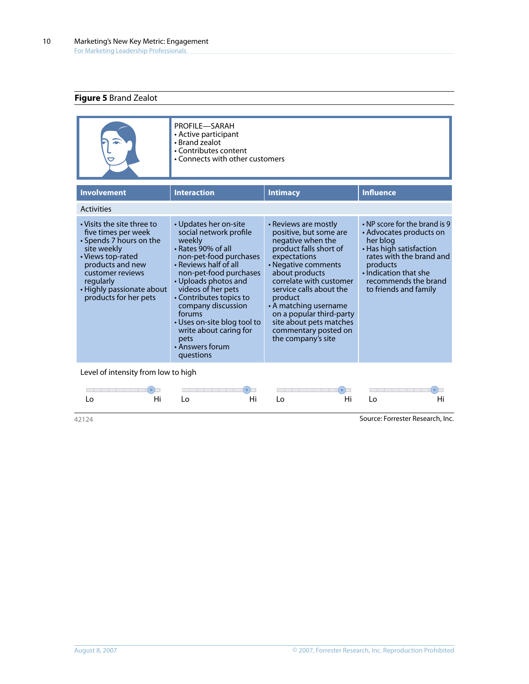## **Figure 5** Brand Zealot

|                                                                                                                                                                                                                             | PROFILE-SARAH<br>• Active participant<br>• Brand zealot<br>• Contributes content<br>• Connects with other customers                                                                                                                                                                                                                                                    |                                                                                                                                                                                                                                                                                                                                                       |                                                                                                                                                                                                                         |
|-----------------------------------------------------------------------------------------------------------------------------------------------------------------------------------------------------------------------------|------------------------------------------------------------------------------------------------------------------------------------------------------------------------------------------------------------------------------------------------------------------------------------------------------------------------------------------------------------------------|-------------------------------------------------------------------------------------------------------------------------------------------------------------------------------------------------------------------------------------------------------------------------------------------------------------------------------------------------------|-------------------------------------------------------------------------------------------------------------------------------------------------------------------------------------------------------------------------|
| <b>Involvement</b>                                                                                                                                                                                                          | <b>Interaction</b>                                                                                                                                                                                                                                                                                                                                                     | <b>Intimacy</b>                                                                                                                                                                                                                                                                                                                                       | <b>Influence</b>                                                                                                                                                                                                        |
| <b>Activities</b>                                                                                                                                                                                                           |                                                                                                                                                                                                                                                                                                                                                                        |                                                                                                                                                                                                                                                                                                                                                       |                                                                                                                                                                                                                         |
| • Visits the site three to<br>five times per week<br>• Spends 7 hours on the<br>site weekly<br>• Views top-rated<br>products and new<br>customer reviews<br>regularly<br>• Highly passionate about<br>products for her pets | • Updates her on-site<br>social network profile<br>weekly<br>• Rates 90% of all<br>non-pet-food purchases<br>• Reviews half of all<br>non-pet-food purchases<br>• Uploads photos and<br>videos of her pets<br>• Contributes topics to<br>company discussion<br>forums<br>• Uses on-site blog tool to<br>write about caring for<br>pets<br>• Answers forum<br>questions | • Reviews are mostly<br>positive, but some are<br>negative when the<br>product falls short of<br>expectations<br>• Negative comments<br>about products<br>correlate with customer<br>service calls about the<br>product<br>• A matching username<br>on a popular third-party<br>site about pets matches<br>commentary posted on<br>the company's site | $\cdot$ NP score for the brand is 9<br>• Advocates products on<br>her blog<br>• Has high satisfaction<br>rates with the brand and<br>products<br>. Indication that she<br>recommends the brand<br>to friends and family |

Level of intensity from low to high



42124 Source: Forrester Research, Inc.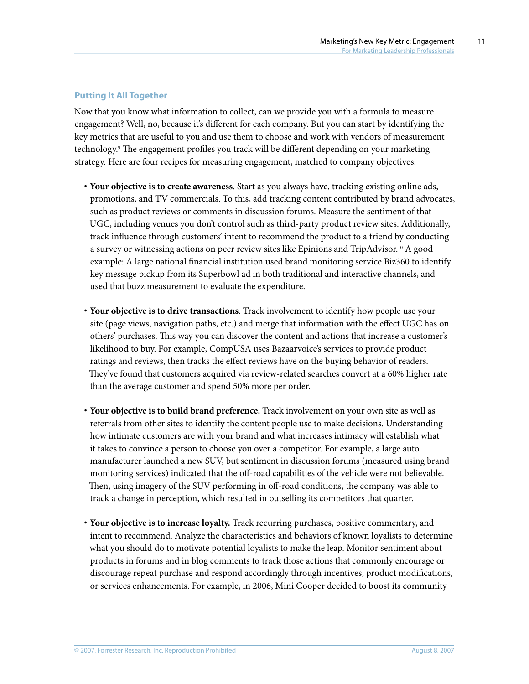## **Putting It All Together**

Now that you know what information to collect, can we provide you with a formula to measure engagement? Well, no, because it's different for each company. But you can start by identifying the key metrics that are useful to you and use them to choose and work with vendors of measurement technology.9 The engagement profiles you track will be different depending on your marketing strategy. Here are four recipes for measuring engagement, matched to company objectives:

- **· Your objective is to create awareness**. Start as you always have, tracking existing online ads, promotions, and TV commercials. To this, add tracking content contributed by brand advocates, such as product reviews or comments in discussion forums. Measure the sentiment of that UGC, including venues you don't control such as third-party product review sites. Additionally, track influence through customers' intent to recommend the product to a friend by conducting a survey or witnessing actions on peer review sites like Epinions and TripAdvisor.10 A good example: A large national financial institution used brand monitoring service Biz360 to identify key message pickup from its Superbowl ad in both traditional and interactive channels, and used that buzz measurement to evaluate the expenditure.
- **· Your objective is to drive transactions**. Track involvement to identify how people use your site (page views, navigation paths, etc.) and merge that information with the effect UGC has on others' purchases. This way you can discover the content and actions that increase a customer's likelihood to buy. For example, CompUSA uses Bazaarvoice's services to provide product ratings and reviews, then tracks the effect reviews have on the buying behavior of readers. They've found that customers acquired via review-related searches convert at a 60% higher rate than the average customer and spend 50% more per order.
- **· Your objective is to build brand preference.** Track involvement on your own site as well as referrals from other sites to identify the content people use to make decisions. Understanding how intimate customers are with your brand and what increases intimacy will establish what it takes to convince a person to choose you over a competitor. For example, a large auto manufacturer launched a new SUV, but sentiment in discussion forums (measured using brand monitoring services) indicated that the off-road capabilities of the vehicle were not believable. Then, using imagery of the SUV performing in off-road conditions, the company was able to track a change in perception, which resulted in outselling its competitors that quarter.
- **· Your objective is to increase loyalty.** Track recurring purchases, positive commentary, and intent to recommend. Analyze the characteristics and behaviors of known loyalists to determine what you should do to motivate potential loyalists to make the leap. Monitor sentiment about products in forums and in blog comments to track those actions that commonly encourage or discourage repeat purchase and respond accordingly through incentives, product modifications, or services enhancements. For example, in 2006, Mini Cooper decided to boost its community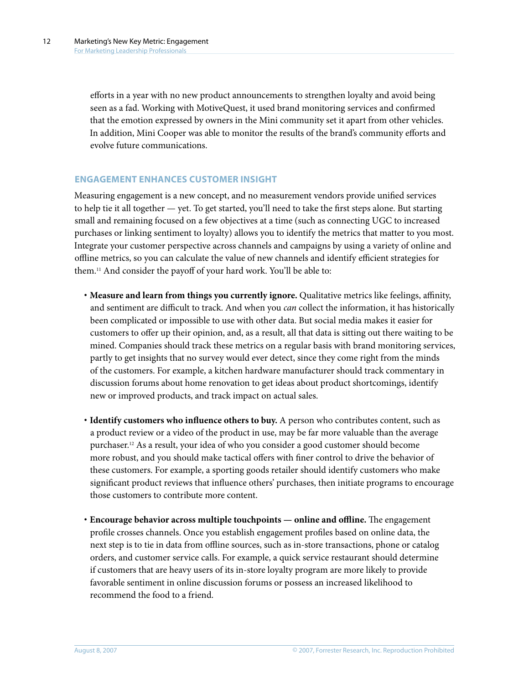efforts in a year with no new product announcements to strengthen loyalty and avoid being seen as a fad. Working with MotiveQuest, it used brand monitoring services and confirmed that the emotion expressed by owners in the Mini community set it apart from other vehicles. In addition, Mini Cooper was able to monitor the results of the brand's community efforts and evolve future communications.

#### **ENGAGEMENT ENHANCES CUSTOMER INSIGHT**

Measuring engagement is a new concept, and no measurement vendors provide unified services to help tie it all together — yet. To get started, you'll need to take the first steps alone. But starting small and remaining focused on a few objectives at a time (such as connecting UGC to increased purchases or linking sentiment to loyalty) allows you to identify the metrics that matter to you most. Integrate your customer perspective across channels and campaigns by using a variety of online and offline metrics, so you can calculate the value of new channels and identify efficient strategies for them.11 And consider the payoff of your hard work. You'll be able to:

- **· Measure and learn from things you currently ignore.** Qualitative metrics like feelings, affinity, and sentiment are difficult to track. And when you *can* collect the information, it has historically been complicated or impossible to use with other data. But social media makes it easier for customers to offer up their opinion, and, as a result, all that data is sitting out there waiting to be mined. Companies should track these metrics on a regular basis with brand monitoring services, partly to get insights that no survey would ever detect, since they come right from the minds of the customers. For example, a kitchen hardware manufacturer should track commentary in discussion forums about home renovation to get ideas about product shortcomings, identify new or improved products, and track impact on actual sales.
- **· Identify customers who influence others to buy.** A person who contributes content, such as a product review or a video of the product in use, may be far more valuable than the average purchaser.12 As a result, your idea of who you consider a good customer should become more robust, and you should make tactical offers with finer control to drive the behavior of these customers. For example, a sporting goods retailer should identify customers who make significant product reviews that influence others' purchases, then initiate programs to encourage those customers to contribute more content.
- **· Encourage behavior across multiple touchpoints online and offline.** The engagement profile crosses channels. Once you establish engagement profiles based on online data, the next step is to tie in data from offline sources, such as in-store transactions, phone or catalog orders, and customer service calls. For example, a quick service restaurant should determine if customers that are heavy users of its in-store loyalty program are more likely to provide favorable sentiment in online discussion forums or possess an increased likelihood to recommend the food to a friend.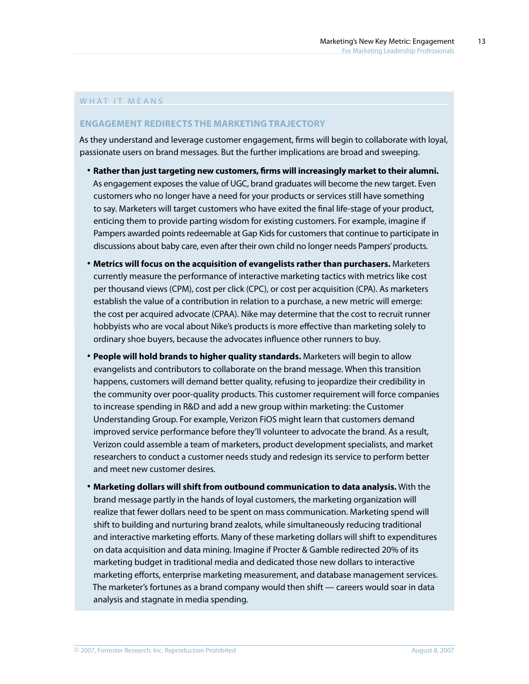#### WHAT IT MEANS

#### **ENGAGEMENT REDIRECTS THE MARKETING TRAJECTORY**

As they understand and leverage customer engagement, firms will begin to collaborate with loyal, passionate users on brand messages. But the further implications are broad and sweeping.

- **· Rather than just targeting new customers, firms will increasingly market to their alumni.** As engagement exposes the value of UGC, brand graduates will become the new target. Even customers who no longer have a need for your products or services still have something to say. Marketers will target customers who have exited the final life-stage of your product, enticing them to provide parting wisdom for existing customers. For example, imagine if Pampers awarded points redeemable at Gap Kids for customers that continue to participate in discussions about baby care, even after their own child no longer needs Pampers' products.
- **· Metrics will focus on the acquisition of evangelists rather than purchasers.** Marketers currently measure the performance of interactive marketing tactics with metrics like cost per thousand views (CPM), cost per click (CPC), or cost per acquisition (CPA). As marketers establish the value of a contribution in relation to a purchase, a new metric will emerge: the cost per acquired advocate (CPAA). Nike may determine that the cost to recruit runner hobbyists who are vocal about Nike's products is more effective than marketing solely to ordinary shoe buyers, because the advocates influence other runners to buy.
- **· People will hold brands to higher quality standards.** Marketers will begin to allow evangelists and contributors to collaborate on the brand message. When this transition happens, customers will demand better quality, refusing to jeopardize their credibility in the community over poor-quality products. This customer requirement will force companies to increase spending in R&D and add a new group within marketing: the Customer Understanding Group. For example, Verizon FiOS might learn that customers demand improved service performance before they'll volunteer to advocate the brand. As a result, Verizon could assemble a team of marketers, product development specialists, and market researchers to conduct a customer needs study and redesign its service to perform better and meet new customer desires.
- **· Marketing dollars will shift from outbound communication to data analysis.** With the brand message partly in the hands of loyal customers, the marketing organization will realize that fewer dollars need to be spent on mass communication. Marketing spend will shift to building and nurturing brand zealots, while simultaneously reducing traditional and interactive marketing efforts. Many of these marketing dollars will shift to expenditures on data acquisition and data mining. Imagine if Procter & Gamble redirected 20% of its marketing budget in traditional media and dedicated those new dollars to interactive marketing efforts, enterprise marketing measurement, and database management services. The marketer's fortunes as a brand company would then shift — careers would soar in data analysis and stagnate in media spending.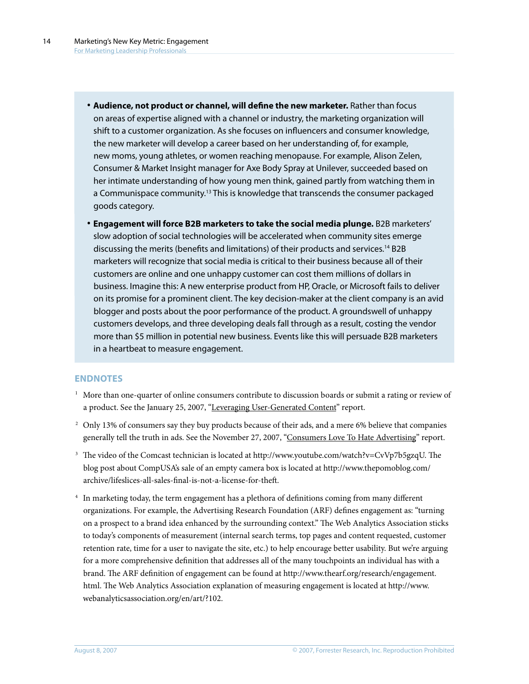- **· Audience, not product or channel, will define the new marketer.** Rather than focus on areas of expertise aligned with a channel or industry, the marketing organization will shift to a customer organization. As she focuses on influencers and consumer knowledge, the new marketer will develop a career based on her understanding of, for example, new moms, young athletes, or women reaching menopause. For example, Alison Zelen, Consumer & Market Insight manager for Axe Body Spray at Unilever, succeeded based on her intimate understanding of how young men think, gained partly from watching them in a Communispace community.<sup>13</sup> This is knowledge that transcends the consumer packaged goods category.
- **· Engagement will force B2B marketers to take the social media plunge.** B2B marketers' slow adoption of social technologies will be accelerated when community sites emerge discussing the merits (benefits and limitations) of their products and services.14 B2B marketers will recognize that social media is critical to their business because all of their customers are online and one unhappy customer can cost them millions of dollars in business. Imagine this: A new enterprise product from HP, Oracle, or Microsoft fails to deliver on its promise for a prominent client. The key decision-maker at the client company is an avid blogger and posts about the poor performance of the product. A groundswell of unhappy customers develops, and three developing deals fall through as a result, costing the vendor more than \$5 million in potential new business. Events like this will persuade B2B marketers in a heartbeat to measure engagement.

#### **ENDNOTES**

- 1 More than one-quarter of online consumers contribute to discussion boards or submit a rating or review of a product. See the January 25, 2007, "[Leveraging User-Generated Content](http://www.forrester.com/go?docid=40753&src=42124pdf)" report.
- 2 Only 13% of consumers say they buy products because of their ads, and a mere 6% believe that companies generally tell the truth in ads. See the November 27, 2007, ["Consumers Love To Hate Advertising"](http://www.forrester.com/go?docid=39631&src=42124pdf) report.
- <sup>3</sup> The video of the Comcast technician is located at http://www.youtube.com/watch?v=CvVp7b5gzqU. The blog post about CompUSA's sale of an empty camera box is located at http://www.thepomoblog.com/ archive/lifeslices-all-sales-final-is-not-a-license-for-theft.
- 4 In marketing today, the term engagement has a plethora of definitions coming from many different organizations. For example, the Advertising Research Foundation (ARF) defines engagement as: "turning on a prospect to a brand idea enhanced by the surrounding context." The Web Analytics Association sticks to today's components of measurement (internal search terms, top pages and content requested, customer retention rate, time for a user to navigate the site, etc.) to help encourage better usability. But we're arguing for a more comprehensive definition that addresses all of the many touchpoints an individual has with a brand. The ARF definition of engagement can be found at http://www.thearf.org/research/engagement. html. The Web Analytics Association explanation of measuring engagement is located at http://www. webanalyticsassociation.org/en/art/?102.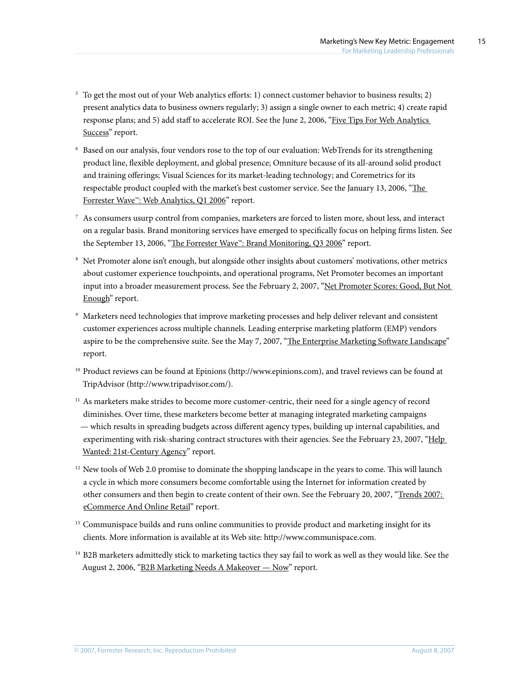- 5 To get the most out of your Web analytics efforts: 1) connect customer behavior to business results; 2) present analytics data to business owners regularly; 3) assign a single owner to each metric; 4) create rapid response plans; and 5) add staff to accelerate ROI. See the June 2, 2006, ["Five Tips For Web Analytics](http://www.forrester.com/go?docid=39569&src=42124pdf)  [Success"](http://www.forrester.com/go?docid=39569&src=42124pdf) report.
- 6 Based on our analysis, four vendors rose to the top of our evaluation: WebTrends for its strengthening product line, flexible deployment, and global presence; Omniture because of its all-around solid product and training offerings; Visual Sciences for its market-leading technology; and Coremetrics for its respectable product coupled with the market's best customer service. See the January 13, 2006, ["The](http://www.forrester.com/go?docid=36675&src=42124pdf)  [Forrester Wave™: Web Analytics, Q1 2006](http://www.forrester.com/go?docid=36675&src=42124pdf)" report.
- $^7\,$  As consumers usurp control from companies, marketers are forced to listen more, shout less, and interact on a regular basis. Brand monitoring services have emerged to specifically focus on helping firms listen. See the September 13, 2006, ["The Forrester Wave™: Brand Monitoring, Q3 2006](http://www.forrester.com/go?docid=39442&src=42124pdf)" report.
- 8 Net Promoter alone isn't enough, but alongside other insights about customers' motivations, other metrics about customer experience touchpoints, and operational programs, Net Promoter becomes an important input into a broader measurement process. See the February 2, 2007, ["Net Promoter Scores: Good, But Not](http://www.forrester.com/go?docid=40764&src=42124pdf)  [Enough"](http://www.forrester.com/go?docid=40764&src=42124pdf) report.
- 9 Marketers need technologies that improve marketing processes and help deliver relevant and consistent customer experiences across multiple channels. Leading enterprise marketing platform (EMP) vendors aspire to be the comprehensive suite. See the May 7, 2007, "[The Enterprise Marketing Software Landscape](http://www.forrester.com/go?docid=40761&src=42124pdf)" report.
- 10 Product reviews can be found at Epinions (http://www.epinions.com), and travel reviews can be found at TripAdvisor (http://www.tripadvisor.com/).
- $11$  As marketers make strides to become more customer-centric, their need for a single agency of record diminishes. Over time, these marketers become better at managing integrated marketing campaigns — which results in spreading budgets across different agency types, building up internal capabilities, and experimenting with risk-sharing contract structures with their agencies. See the February 23, 2007, "Help [Wanted: 21st-Century Agency](http://www.forrester.com/go?docid=41433&src=42124pdf)" report.
- $12$  New tools of Web 2.0 promise to dominate the shopping landscape in the years to come. This will launch a cycle in which more consumers become comfortable using the Internet for information created by other consumers and then begin to create content of their own. See the February 20, 2007, "Trends 2007: [eCommerce And Online Retail](http://www.forrester.com/go?docid=40650&src=42124pdf)" report.
- $13$  Communispace builds and runs online communities to provide product and marketing insight for its clients. More information is available at its Web site: http://www.communispace.com.
- <sup>14</sup> B2B marketers admittedly stick to marketing tactics they say fail to work as well as they would like. See the August 2, 2006, "[B2B Marketing Needs A Makeover — Now](http://www.forrester.com/go?docid=39553&src=42124pdf)" report.